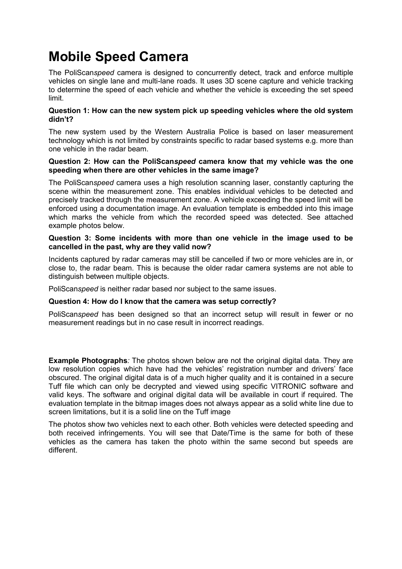## **Mobile Speed Camera**

The PoliScan*speed* camera is designed to concurrently detect, track and enforce multiple vehicles on single lane and multi-lane roads. It uses 3D scene capture and vehicle tracking to determine the speed of each vehicle and whether the vehicle is exceeding the set speed limit.

#### **Question 1: How can the new system pick up speeding vehicles where the old system didn't?**

The new system used by the Western Australia Police is based on laser measurement technology which is not limited by constraints specific to radar based systems e.g. more than one vehicle in the radar beam.

#### **Question 2: How can the PoliScan***speed* **camera know that my vehicle was the one speeding when there are other vehicles in the same image?**

The PoliScan*speed* camera uses a high resolution scanning laser, constantly capturing the scene within the measurement zone. This enables individual vehicles to be detected and precisely tracked through the measurement zone. A vehicle exceeding the speed limit will be enforced using a documentation image. An evaluation template is embedded into this image which marks the vehicle from which the recorded speed was detected. See attached example photos below.

#### **Question 3: Some incidents with more than one vehicle in the image used to be cancelled in the past, why are they valid now?**

Incidents captured by radar cameras may still be cancelled if two or more vehicles are in, or close to, the radar beam. This is because the older radar camera systems are not able to distinguish between multiple objects.

PoliScan*speed* is neither radar based nor subject to the same issues.

### **Question 4: How do I know that the camera was setup correctly?**

PoliScan*speed* has been designed so that an incorrect setup will result in fewer or no measurement readings but in no case result in incorrect readings.

**Example Photographs***:* The photos shown below are not the original digital data. They are low resolution copies which have had the vehicles' registration number and drivers' face obscured. The original digital data is of a much higher quality and it is contained in a secure Tuff file which can only be decrypted and viewed using specific VITRONIC software and valid keys. The software and original digital data will be available in court if required. The evaluation template in the bitmap images does not always appear as a solid white line due to screen limitations, but it is a solid line on the Tuff image

The photos show two vehicles next to each other. Both vehicles were detected speeding and both received infringements. You will see that Date/Time is the same for both of these vehicles as the camera has taken the photo within the same second but speeds are different.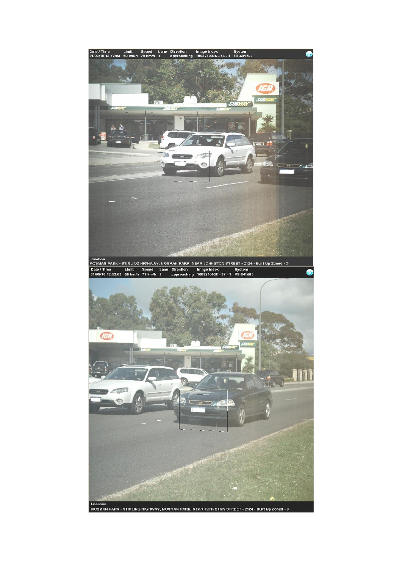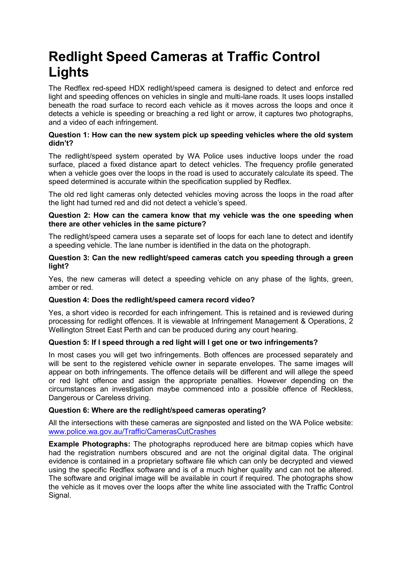# **Redlight Speed Cameras at Traffic Control Lights**

The Redflex red-speed HDX redlight/speed camera is designed to detect and enforce red light and speeding offences on vehicles in single and multi-lane roads. It uses loops installed beneath the road surface to record each vehicle as it moves across the loops and once it detects a vehicle is speeding or breaching a red light or arrow, it captures two photographs, and a video of each infringement.

### **Question 1: How can the new system pick up speeding vehicles where the old system didn't?**

The redlight/speed system operated by WA Police uses inductive loops under the road surface, placed a fixed distance apart to detect vehicles. The frequency profile generated when a vehicle goes over the loops in the road is used to accurately calculate its speed. The speed determined is accurate within the specification supplied by Redflex.

The old red light cameras only detected vehicles moving across the loops in the road after the light had turned red and did not detect a vehicle's speed.

### **Question 2: How can the camera know that my vehicle was the one speeding when there are other vehicles in the same picture?**

The redlight/speed camera uses a separate set of loops for each lane to detect and identify a speeding vehicle. The lane number is identified in the data on the photograph.

#### **Question 3: Can the new redlight/speed cameras catch you speeding through a green light?**

Yes, the new cameras will detect a speeding vehicle on any phase of the lights, green, amber or red.

### **Question 4: Does the redlight/speed camera record video?**

Yes, a short video is recorded for each infringement. This is retained and is reviewed during processing for redlight offences. It is viewable at Infringement Management & Operations, 2 Wellington Street East Perth and can be produced during any court hearing.

### **Question 5: If I speed through a red light will I get one or two infringements?**

In most cases you will get two infringements. Both offences are processed separately and will be sent to the registered vehicle owner in separate envelopes. The same images will appear on both infringements. The offence details will be different and will allege the speed or red light offence and assign the appropriate penalties. However depending on the circumstances an investigation maybe commenced into a possible offence of Reckless, Dangerous or Careless driving.

### **Question 6: Where are the redlight/speed cameras operating?**

All the intersections with these cameras are signposted and listed on the WA Police website: [www.police.wa.gov.au/Traffic/CamerasCutCrashes](http://www.police.wa.gov.au/Traffic/CamerasCutCrashes)

**Example Photographs:** The photographs reproduced here are bitmap copies which have had the registration numbers obscured and are not the original digital data. The original evidence is contained in a proprietary software file which can only be decrypted and viewed using the specific Redflex software and is of a much higher quality and can not be altered. The software and original image will be available in court if required. The photographs show the vehicle as it moves over the loops after the white line associated with the Traffic Control Signal.